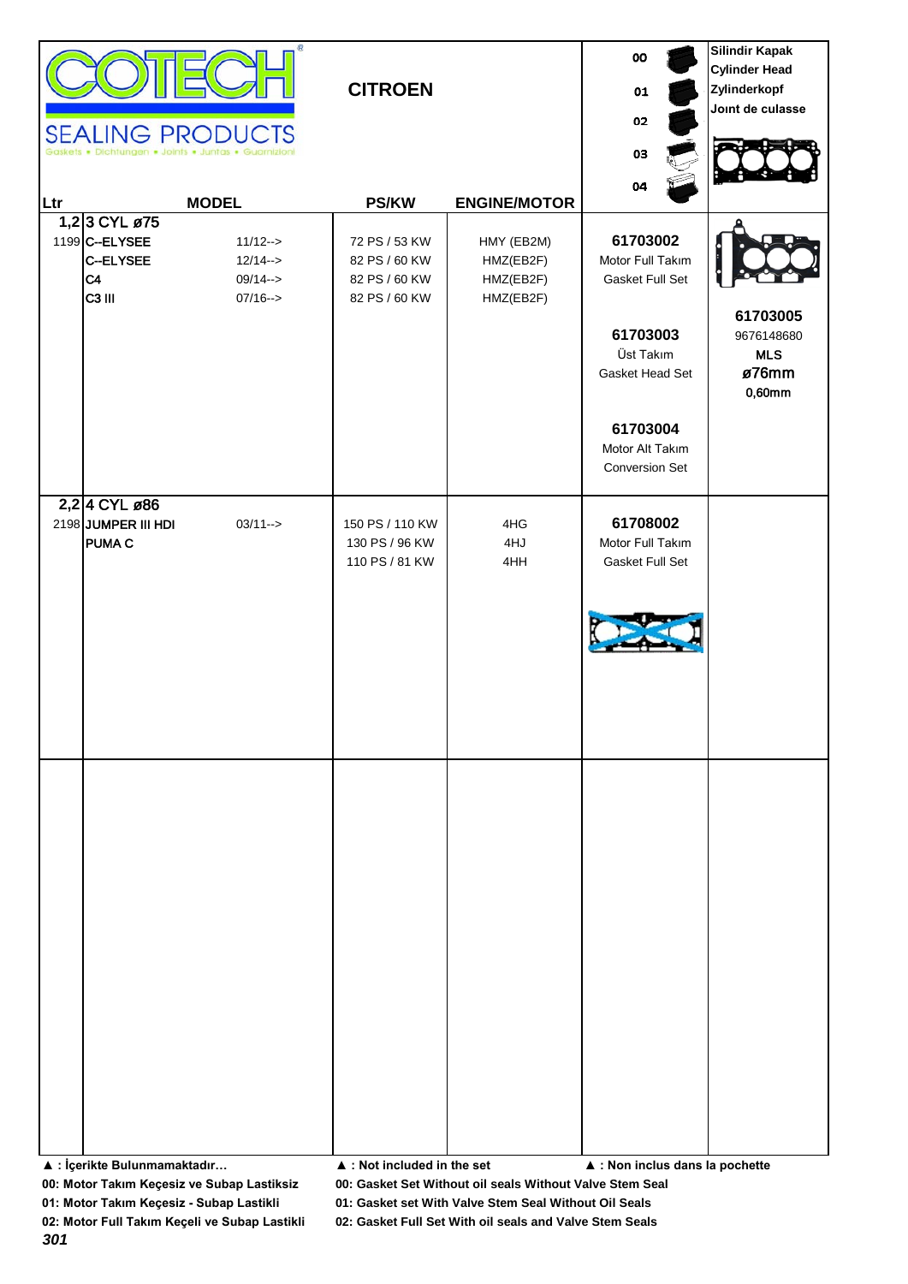|     |                                                                         | Œ<br><b>SEALING PRODUCTS</b><br>· Dichtungen · Joints · Juntas · Guarnizioni | <b>CITROEN</b>                                                   |                                                   | 00<br>01<br>02<br>03                                                                                    | Silindir Kapak<br><b>Cylinder Head</b><br>Zylinderkopf<br>Joint de culasse |
|-----|-------------------------------------------------------------------------|------------------------------------------------------------------------------|------------------------------------------------------------------|---------------------------------------------------|---------------------------------------------------------------------------------------------------------|----------------------------------------------------------------------------|
| Ltr |                                                                         | <b>MODEL</b>                                                                 | <b>PS/KW</b>                                                     | <b>ENGINE/MOTOR</b>                               | 04                                                                                                      |                                                                            |
|     | 1,23 CYL ø75<br>1199 C--ELYSEE<br>C--ELYSEE<br>C4<br>C <sub>3</sub> III | $11/12 ->$<br>$12/14 - >$<br>$09/14 - >$<br>$07/16 - >$                      | 72 PS / 53 KW<br>82 PS / 60 KW<br>82 PS / 60 KW<br>82 PS / 60 KW | HMY (EB2M)<br>HMZ(EB2F)<br>HMZ(EB2F)<br>HMZ(EB2F) | 61703002<br>Motor Full Takım<br>Gasket Full Set<br>61703003<br>Üst Takım<br>Gasket Head Set<br>61703004 | 61703005<br>9676148680<br><b>MLS</b><br>ø76mm<br>$0,60$ mm                 |
|     |                                                                         |                                                                              |                                                                  |                                                   | Motor Alt Takım<br><b>Conversion Set</b>                                                                |                                                                            |
|     | 2,2 4 CYL ø86<br>2198 JUMPER III HDI<br><b>PUMA C</b>                   | $03/11 - >$                                                                  | 150 PS / 110 KW<br>130 PS / 96 KW<br>110 PS / 81 KW              | 4HG<br>4HJ<br>4HH                                 | 61708002<br>Motor Full Takım<br>Gasket Full Set                                                         |                                                                            |
|     |                                                                         |                                                                              |                                                                  |                                                   |                                                                                                         |                                                                            |

**▲ : İçerikte Bulunmamaktadır… ▲ : Not included in the set ▲ : Non inclus dans la pochette**

**00: Motor Takım Keçesiz ve Subap Lastiksiz 00: Gasket Set Without oil seals Without Valve Stem Seal**

**01: Motor Takım Keçesiz - Subap Lastikli 01: Gasket set With Valve Stem Seal Without Oil Seals**

*301*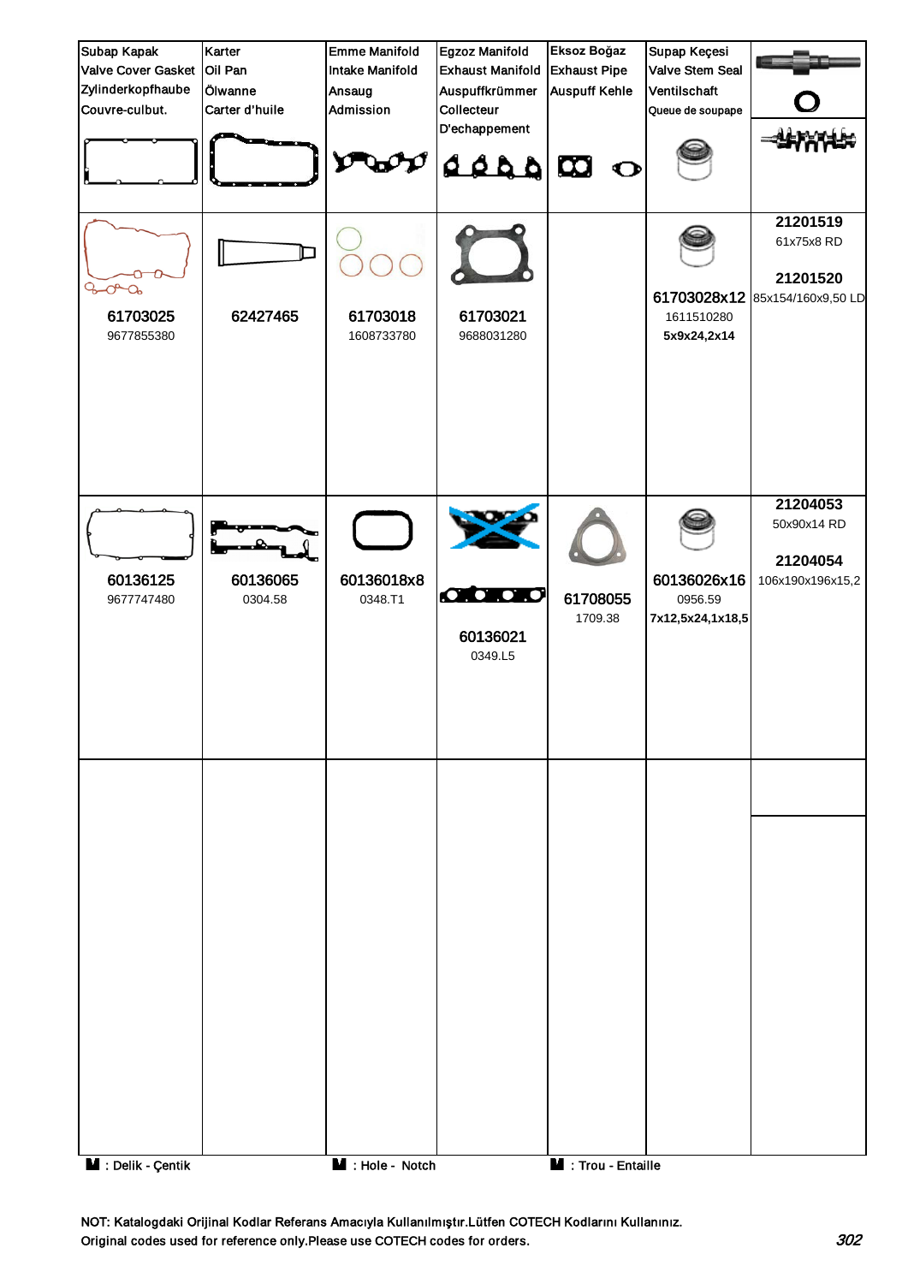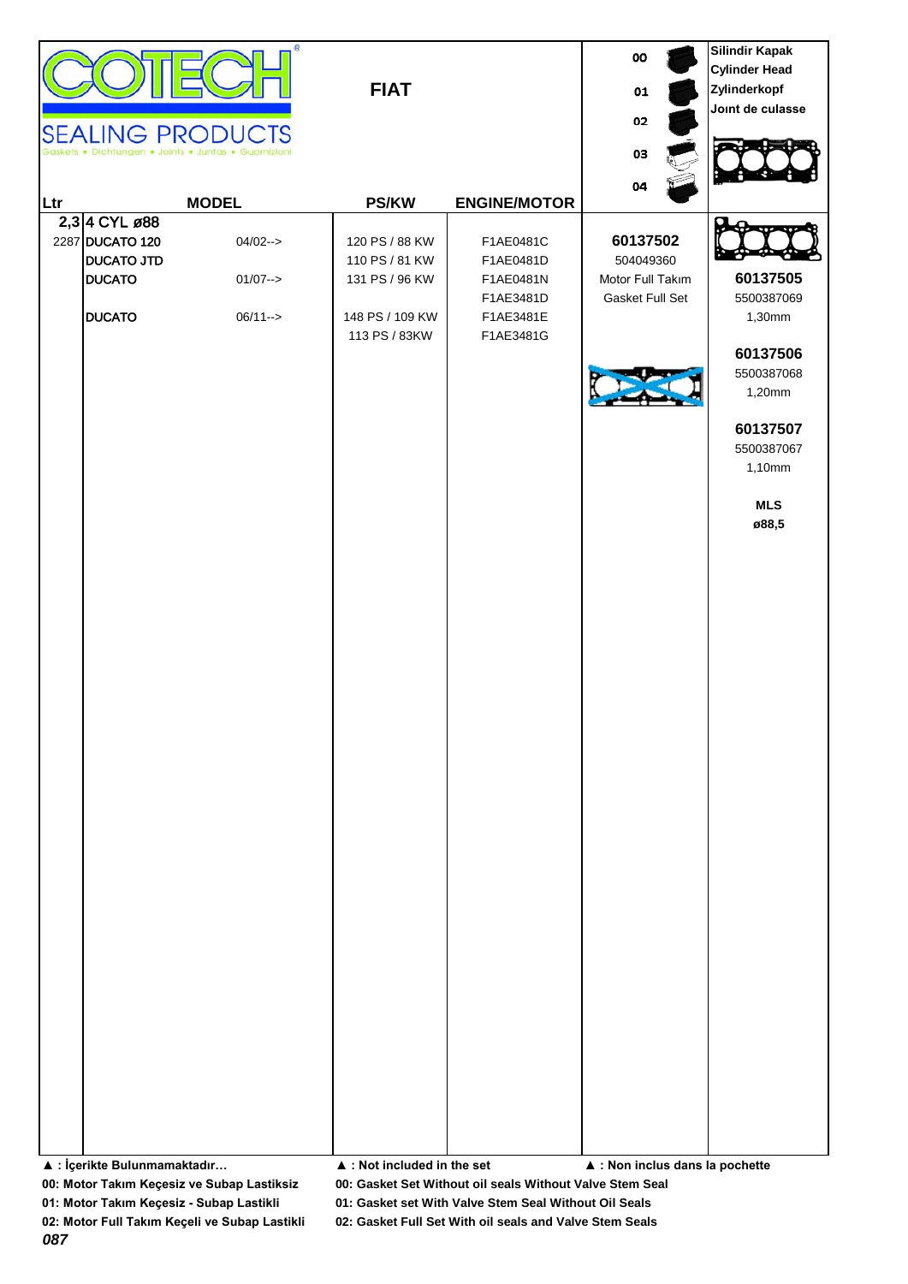| $\hookrightarrow$<br>V.<br><b>STATISTICS</b><br>יו וכוכ זאי<br>- IP |  |
|---------------------------------------------------------------------|--|

|                                      |                         |                                            |                        | 00                              | Silindir Kapak<br><b>Cylinder Head</b> |
|--------------------------------------|-------------------------|--------------------------------------------|------------------------|---------------------------------|----------------------------------------|
|                                      |                         | <b>FIAT</b>                                |                        | 01                              | Zylinderkopf                           |
|                                      |                         |                                            |                        | 02                              | Joint de culasse                       |
|                                      | <b>SEALING PRODUCTS</b> |                                            |                        |                                 |                                        |
|                                      |                         |                                            |                        | 03                              |                                        |
|                                      |                         |                                            |                        | 04                              |                                        |
| Ltr                                  | <b>MODEL</b>            | <b>PS/KW</b>                               | <b>ENGINE/MOTOR</b>    |                                 |                                        |
| 2,3 4 CYL ø88                        |                         |                                            |                        | 60137502                        |                                        |
| 2287 DUCATO 120<br><b>DUCATO JTD</b> | $04/02 - >$             | 120 PS / 88 KW<br>110 PS / 81 KW           | F1AE0481C<br>F1AE0481D | 504049360                       |                                        |
| <b>DUCATO</b>                        | $01/07 - >$             | 131 PS / 96 KW                             | F1AE0481N              | Motor Full Takım                | 60137505                               |
|                                      |                         |                                            | F1AE3481D              | Gasket Full Set                 | 5500387069                             |
| <b>DUCATO</b>                        | $06/11 - >$             | 148 PS / 109 KW                            | F1AE3481E              |                                 | 1,30mm                                 |
|                                      |                         | 113 PS / 83KW                              | F1AE3481G              |                                 | 60137506                               |
|                                      |                         |                                            |                        |                                 | 5500387068                             |
|                                      |                         |                                            |                        |                                 | 1,20mm                                 |
|                                      |                         |                                            |                        |                                 |                                        |
|                                      |                         |                                            |                        |                                 | 60137507<br>5500387067                 |
|                                      |                         |                                            |                        |                                 | 1,10mm                                 |
|                                      |                         |                                            |                        |                                 |                                        |
|                                      |                         |                                            |                        |                                 | <b>MLS</b>                             |
|                                      |                         |                                            |                        |                                 | ø88,5                                  |
|                                      |                         |                                            |                        |                                 |                                        |
|                                      |                         |                                            |                        |                                 |                                        |
|                                      |                         |                                            |                        |                                 |                                        |
|                                      |                         |                                            |                        |                                 |                                        |
|                                      |                         |                                            |                        |                                 |                                        |
|                                      |                         |                                            |                        |                                 |                                        |
|                                      |                         |                                            |                        |                                 |                                        |
|                                      |                         |                                            |                        |                                 |                                        |
|                                      |                         |                                            |                        |                                 |                                        |
|                                      |                         |                                            |                        |                                 |                                        |
|                                      |                         |                                            |                        |                                 |                                        |
|                                      |                         |                                            |                        |                                 |                                        |
|                                      |                         |                                            |                        |                                 |                                        |
|                                      |                         |                                            |                        |                                 |                                        |
|                                      |                         |                                            |                        |                                 |                                        |
|                                      |                         |                                            |                        |                                 |                                        |
|                                      |                         |                                            |                        |                                 |                                        |
|                                      |                         |                                            |                        |                                 |                                        |
|                                      |                         |                                            |                        |                                 |                                        |
|                                      |                         |                                            |                        |                                 |                                        |
|                                      |                         |                                            |                        |                                 |                                        |
|                                      |                         |                                            |                        |                                 |                                        |
|                                      |                         |                                            |                        |                                 |                                        |
|                                      |                         |                                            |                        |                                 |                                        |
|                                      |                         |                                            |                        |                                 |                                        |
|                                      |                         |                                            |                        |                                 |                                        |
| ▲ : İçerikte Bulunmamaktadır         |                         | $\blacktriangle$ : Not included in the set |                        | ▲ : Non inclus dans la pochette |                                        |

**Silindir Kapak**

**00: Motor Takım Keçesiz ve Subap Lastiksiz 00: Gasket Set Without oil seals Without Valve Stem Seal**

**01: Motor Takım Keçesiz - Subap Lastikli 01: Gasket set With Valve Stem Seal Without Oil Seals**

*087*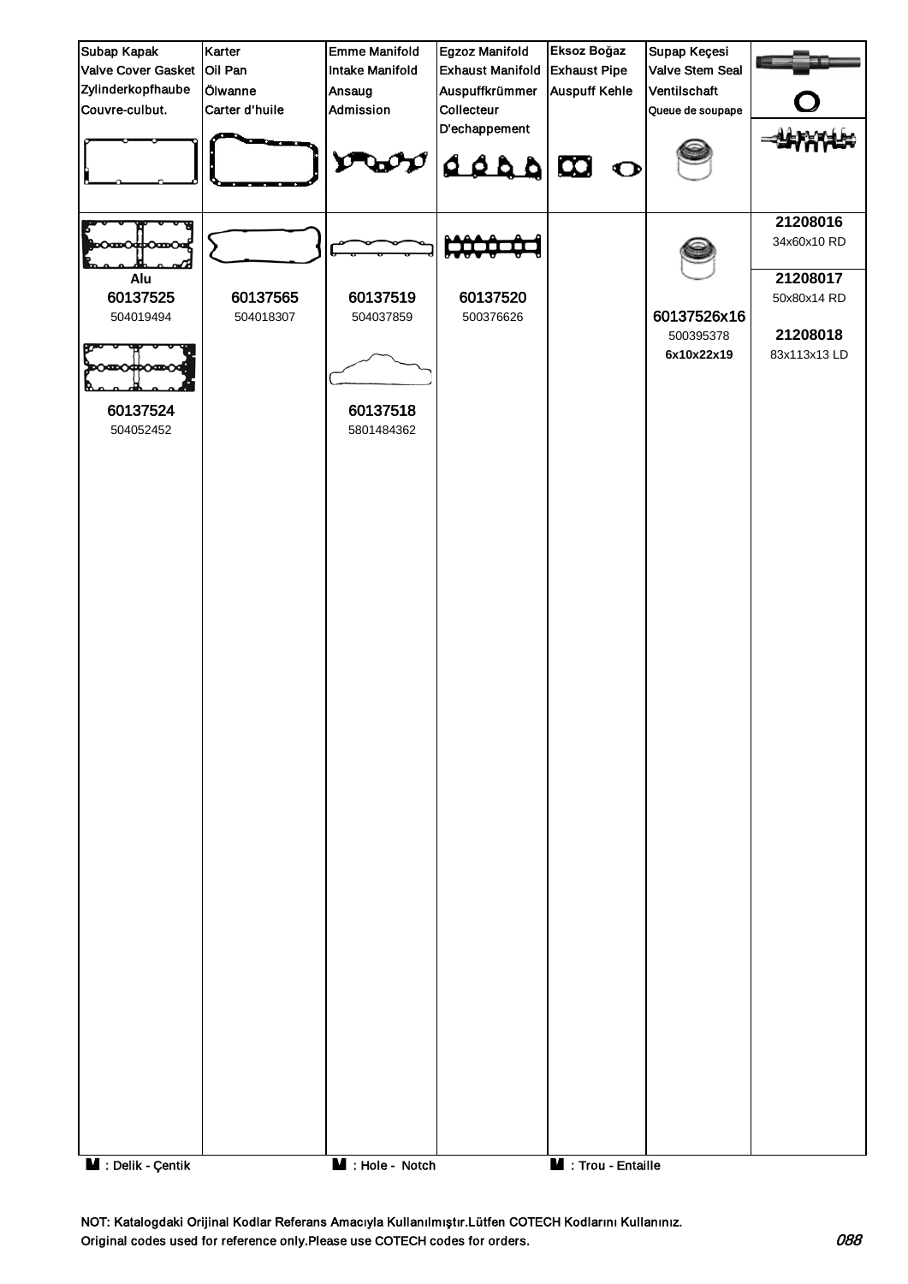

NOT: Katalogdaki Orijinal Kodlar Referans Amacıyla Kullanılmıştır.Lütfen COTECH Kodlarını Kullanınız. Original codes used for reference only.Please use COTECH codes for orders.  $088$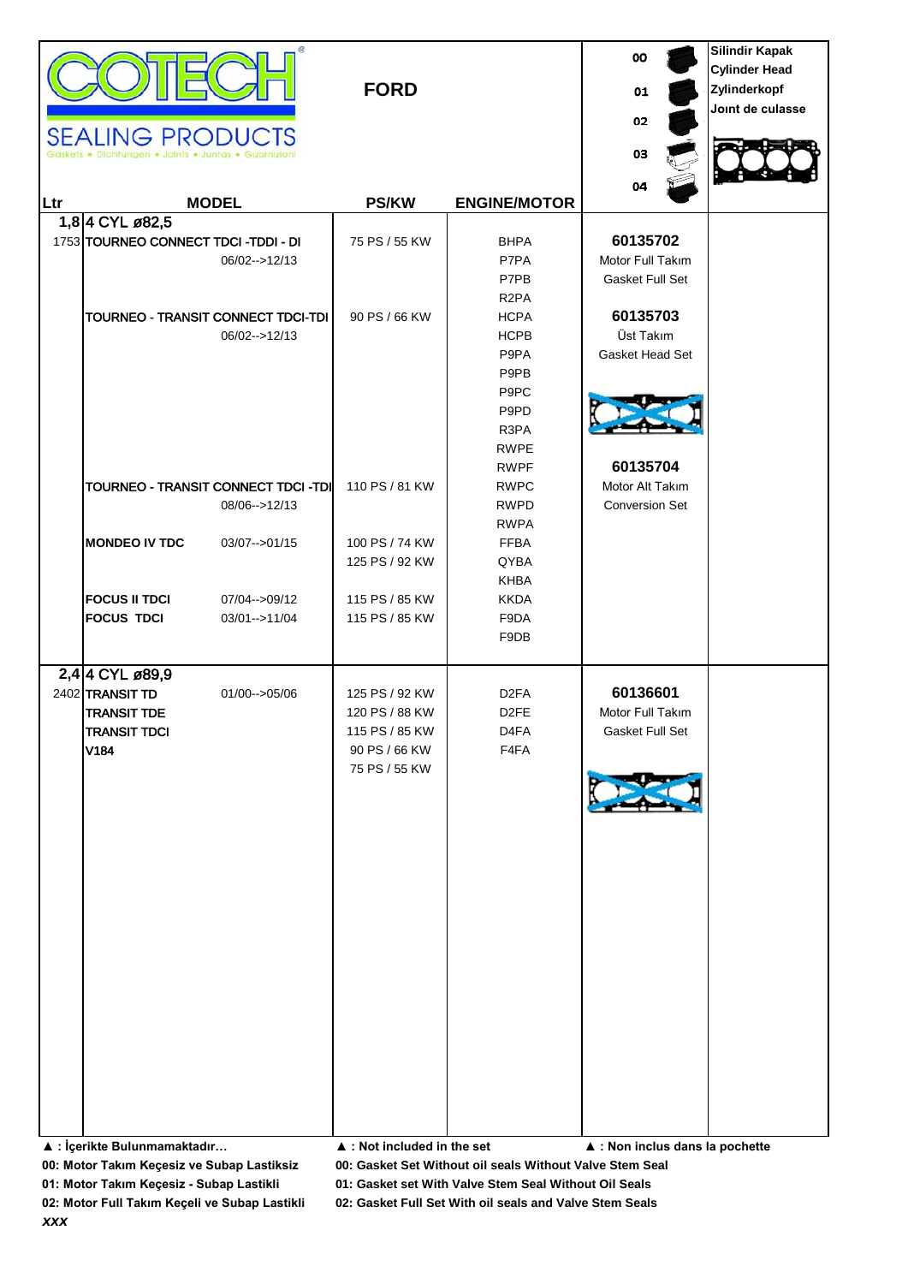| 04<br><b>MODEL</b><br><b>PS/KW</b><br><b>ENGINE/MOTOR</b><br>Ltr                                                                                                                                                                                                                                                                                                                                                                                                                                                                                     |  |
|------------------------------------------------------------------------------------------------------------------------------------------------------------------------------------------------------------------------------------------------------------------------------------------------------------------------------------------------------------------------------------------------------------------------------------------------------------------------------------------------------------------------------------------------------|--|
| 1,8 4 CYL ø 82,5<br>60135702<br>1753 TOURNEO CONNECT TDCI-TDDI-DI<br><b>BHPA</b><br>75 PS / 55 KW<br>P7PA<br>Motor Full Takım<br>06/02-->12/13<br>P7PB<br>Gasket Full Set<br>R <sub>2</sub> PA<br>60135703<br>TOURNEO - TRANSIT CONNECT TDCI-TDI<br>90 PS / 66 KW<br><b>HCPA</b><br><b>HCPB</b><br>Üst Takım<br>06/02-->12/13                                                                                                                                                                                                                        |  |
| P9PA<br>Gasket Head Set<br>P9PB<br>P9PC<br>P9PD<br>R3PA<br><b>RWPE</b><br>60135704<br><b>RWPF</b>                                                                                                                                                                                                                                                                                                                                                                                                                                                    |  |
| TOURNEO - TRANSIT CONNECT TDCI -TDI<br>110 PS / 81 KW<br><b>RWPC</b><br>Motor Alt Takım<br>08/06-->12/13<br><b>RWPD</b><br><b>Conversion Set</b><br><b>RWPA</b>                                                                                                                                                                                                                                                                                                                                                                                      |  |
| <b>MONDEO IV TDC</b><br>100 PS / 74 KW<br><b>FFBA</b><br>$03/07 - >01/15$<br>125 PS / 92 KW<br>QYBA<br><b>KHBA</b>                                                                                                                                                                                                                                                                                                                                                                                                                                   |  |
| <b>FOCUS II TDCI</b><br>07/04-->09/12<br>115 PS / 85 KW<br><b>KKDA</b><br><b>FOCUS TDCI</b><br>115 PS / 85 KW<br>F9DA<br>03/01-->11/04<br>F9DB                                                                                                                                                                                                                                                                                                                                                                                                       |  |
| 2,4 4 CYL ø89,9<br>60136601<br>2402 TRANSIT TD<br>01/00-->05/06<br>125 PS / 92 KW<br>D <sub>2</sub> FA<br><b>TRANSIT TDE</b><br>D <sub>2</sub> FE<br>Motor Full Takım<br>120 PS / 88 KW<br><b>TRANSIT TDCI</b><br>D <sub>4FA</sub><br>115 PS / 85 KW<br>Gasket Full Set<br>V184<br>90 PS / 66 KW<br>F4FA<br>75 PS / 55 KW<br>▲ : İçerikte Bulunmamaktadır<br>$\blacktriangle$ : Not included in the set<br>▲ : Non inclus dans la pochette<br>00: Gasket Set Without oil seals Without Valve Stem Seal<br>00: Motor Takım Keçesiz ve Subap Lastiksiz |  |

*xxx*

**01: Motor Takım Keçesiz - Subap Lastikli 01: Gasket set With Valve Stem Seal Without Oil Seals**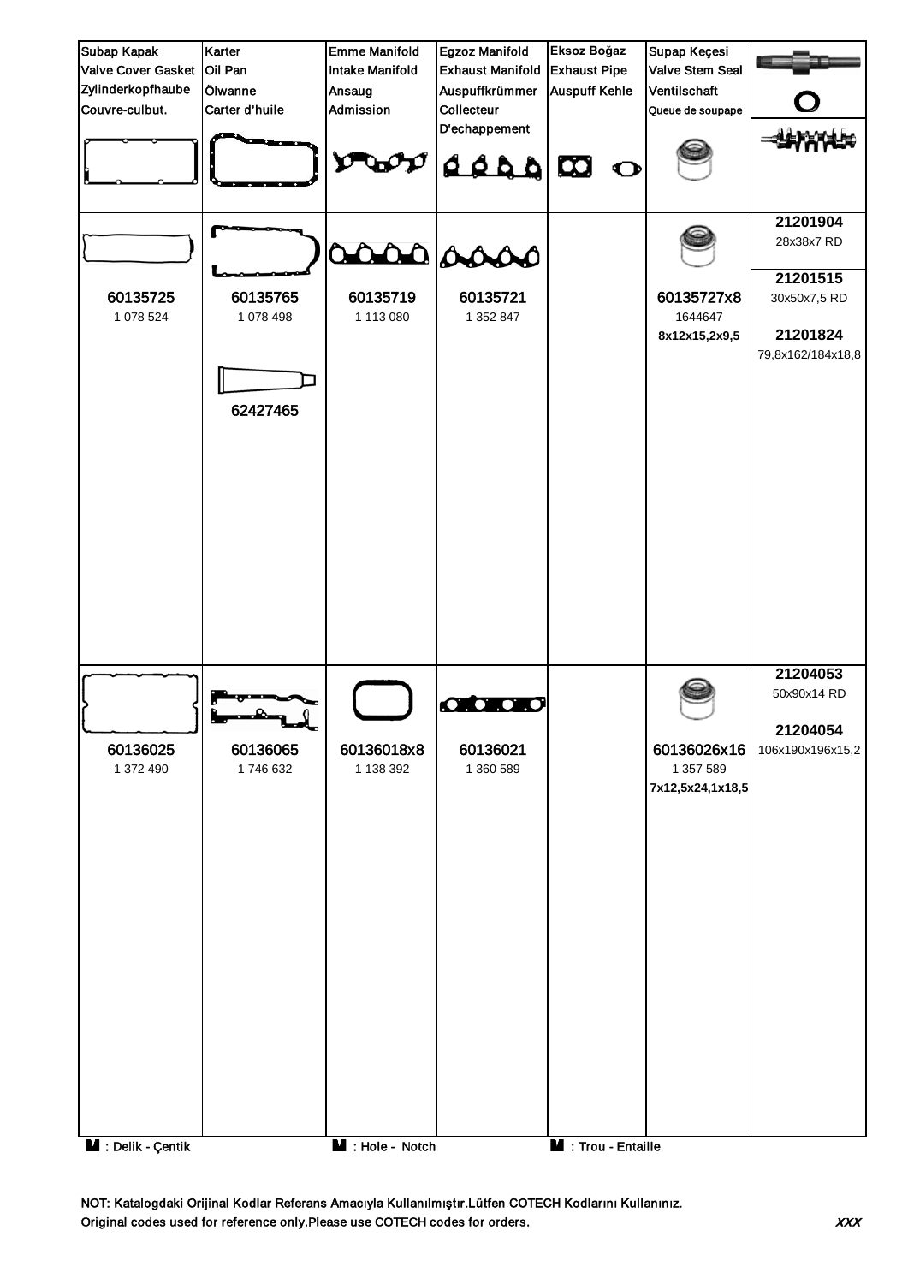

NOT: Katalogdaki Orijinal Kodlar Referans Amacıyla Kullanılmıştır.Lütfen COTECH Kodlarını Kullanınız. Original codes used for reference only.Please use COTECH codes for orders. The context of the codes for orders.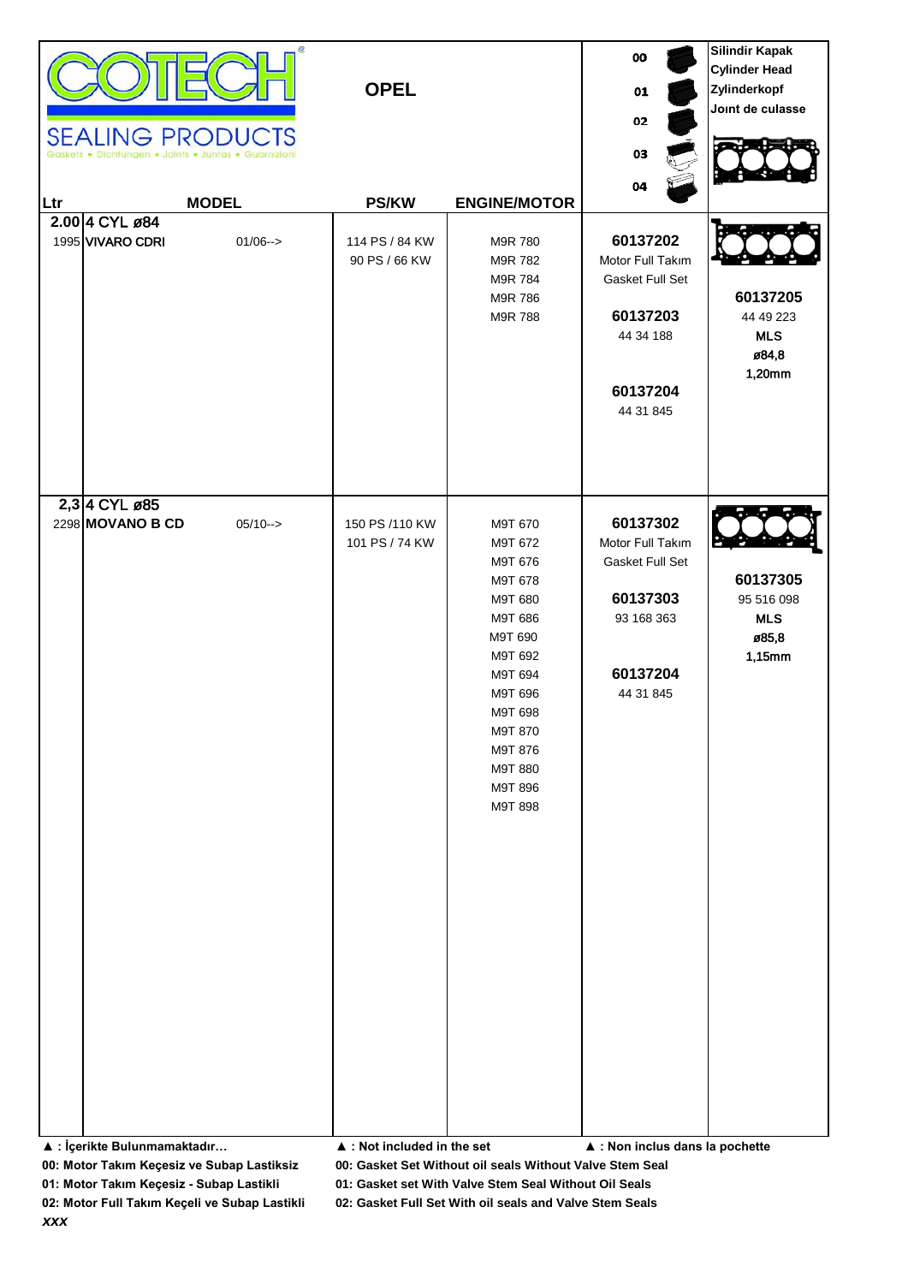| Ltr                                                                        | <b>SEALING PRODUCTS</b><br>Dichtungen . Joints . Juntas . Guarnizion<br>2.00 4 CYL ø84<br>1995 VIVARO CDRI | œ.<br><b>MODEL</b><br>$01/06--$ | <b>OPEL</b><br><b>PS/KW</b><br>114 PS / 84 KW<br>90 PS / 66 KW | <b>ENGINE/MOTOR</b><br>M9R 780<br>M9R 782<br>M9R 784<br>M9R 786<br>M9R 788                                                                                                   | oo<br>01<br>02<br>03<br>04<br>60137202<br>Motor Full Takım<br>Gasket Full Set<br>60137203<br>44 34 188<br>60137204 | <b>Silindir Kapak</b><br><b>Cylinder Head</b><br>Zylinderkopf<br>Joint de culasse<br>60137205<br>44 49 223<br><b>MLS</b><br>ø84,8<br>1,20mm |
|----------------------------------------------------------------------------|------------------------------------------------------------------------------------------------------------|---------------------------------|----------------------------------------------------------------|------------------------------------------------------------------------------------------------------------------------------------------------------------------------------|--------------------------------------------------------------------------------------------------------------------|---------------------------------------------------------------------------------------------------------------------------------------------|
|                                                                            | 2,3 4 CYL ø85<br>2298 MOVANO B CD                                                                          | $05/10->$                       | 150 PS /110 KW<br>101 PS / 74 KW                               | M9T 670<br>M9T 672<br>M9T 676<br>M9T 678<br>M9T 680<br>M9T 686<br>M9T 690<br>M9T 692<br>M9T 694<br>M9T 696<br>M9T 698<br>M9T 870<br>M9T 876<br>M9T 880<br>M9T 896<br>M9T 898 | 44 31 845<br>60137302<br>Motor Full Takım<br>Gasket Full Set<br>60137303<br>93 168 363<br>60137204<br>44 31 845    | 60137305<br>95 516 098<br><b>MLS</b><br>ø85,8<br>1,15mm                                                                                     |
| ▲ : İçerikte Bulunmamaktadır<br>00: Motor Takım Keçesiz ve Subap Lastiksiz |                                                                                                            |                                 | $\blacktriangle$ : Not included in the set                     | 00: Gasket Set Without oil seals Without Valve Stem Seal                                                                                                                     | ▲ : Non inclus dans la pochette                                                                                    |                                                                                                                                             |

**01: Motor Takım Keçesiz - Subap Lastikli 01: Gasket set With Valve Stem Seal Without Oil Seals**

*xxx*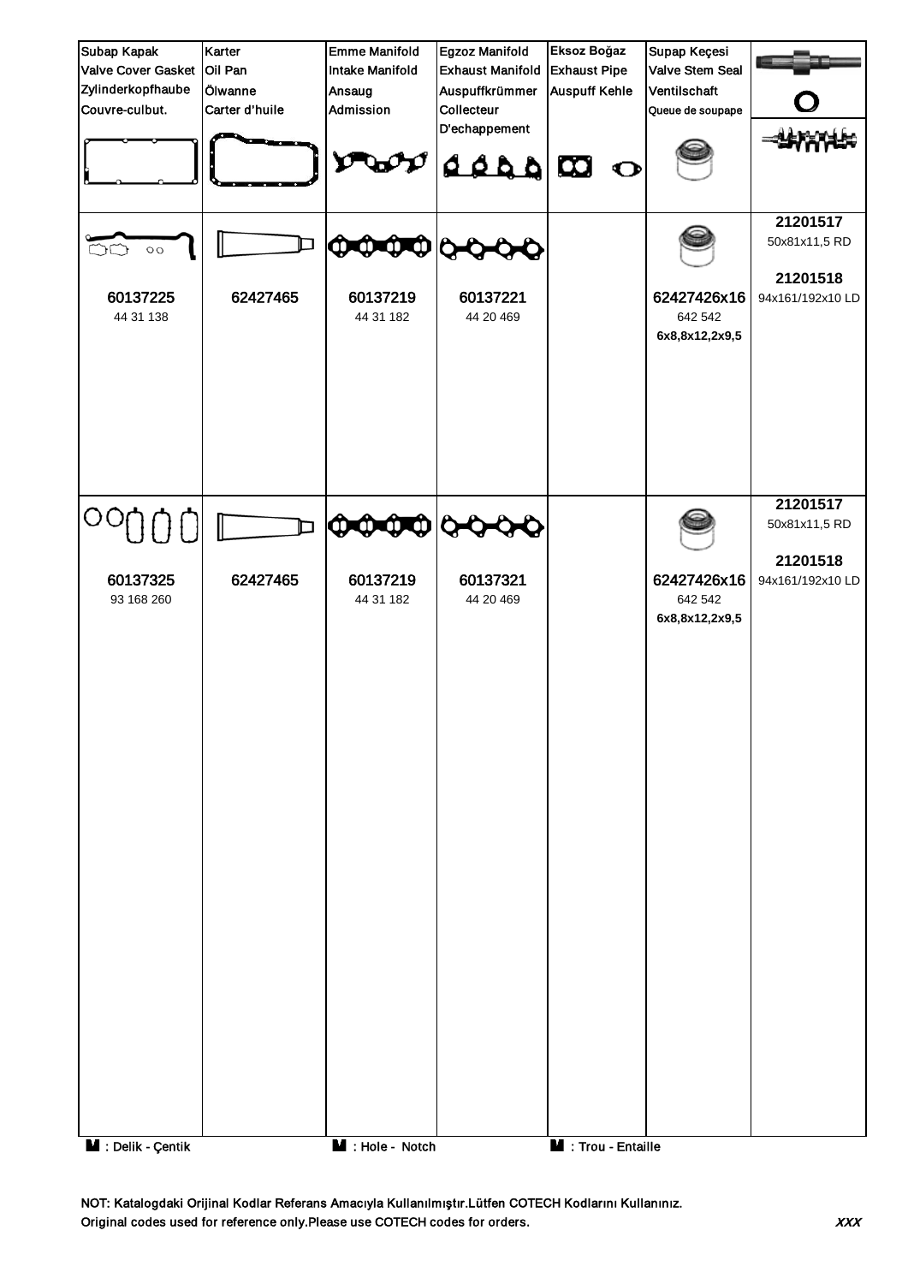

NOT: Katalogdaki Orijinal Kodlar Referans Amacıyla Kullanılmıştır.Lütfen COTECH Kodlarını Kullanınız. Original codes used for reference only.Please use COTECH codes for orders. The context of the codes for orders.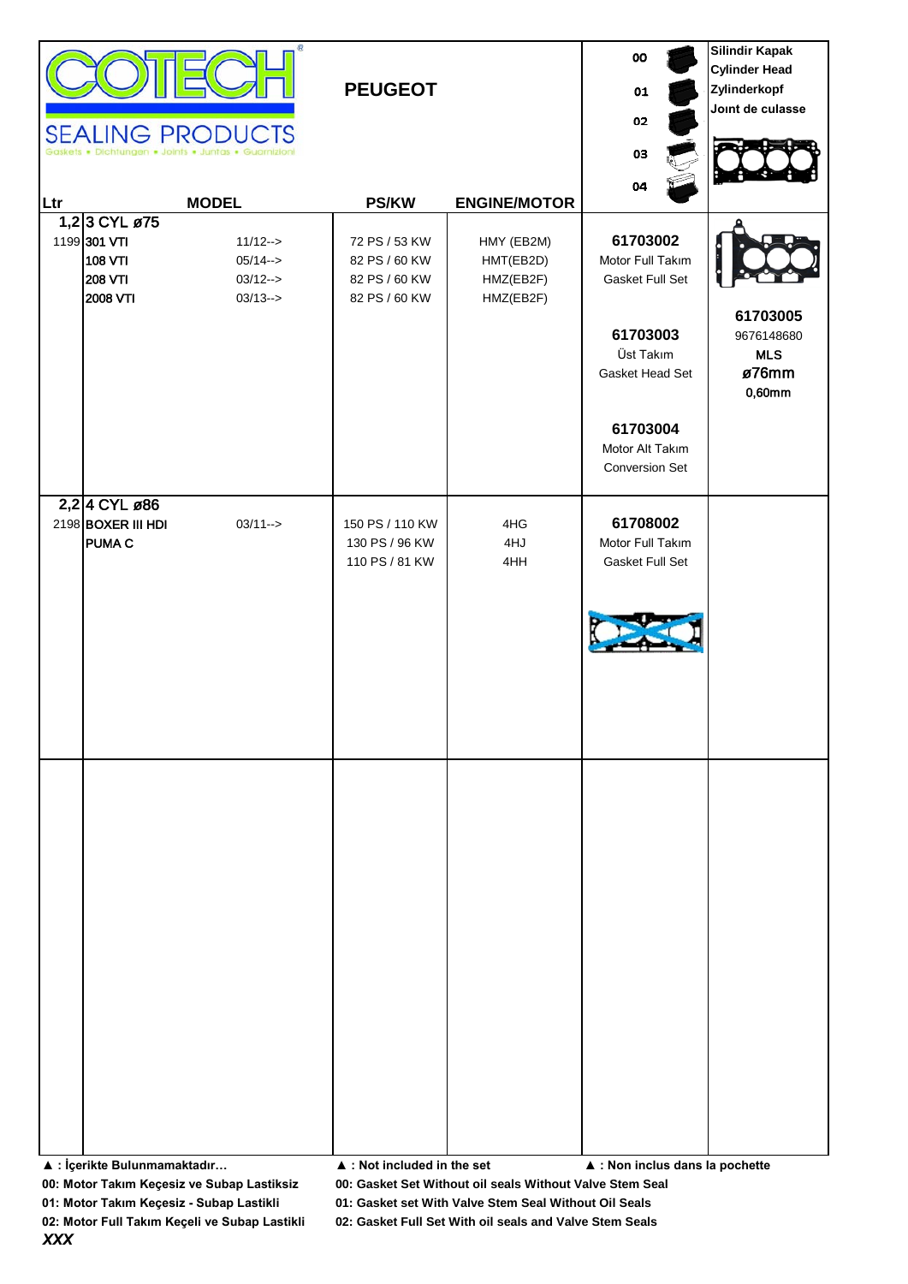|     |                                                                               | Œ.<br><b>SEALING PRODUCTS</b><br>ts . Dichtungen . Joints . Juntas . Guarnizioni | <b>PEUGEOT</b>                                                   |                                                   | oo<br>01<br>02<br>03                                                                                                                                | <b>Silindir Kapak</b><br><b>Cylinder Head</b><br>Zylinderkopf<br>Joint de culasse |
|-----|-------------------------------------------------------------------------------|----------------------------------------------------------------------------------|------------------------------------------------------------------|---------------------------------------------------|-----------------------------------------------------------------------------------------------------------------------------------------------------|-----------------------------------------------------------------------------------|
| Ltr |                                                                               | <b>MODEL</b>                                                                     | <b>PS/KW</b>                                                     | <b>ENGINE/MOTOR</b>                               | 04                                                                                                                                                  |                                                                                   |
|     | 1,2 3 CYL ø75<br>1199 301 VTI<br><b>108 VTI</b><br><b>208 VTI</b><br>2008 VTI | $11/12 ->$<br>$05/14--$<br>$03/12 - >$<br>$03/13 ->$                             | 72 PS / 53 KW<br>82 PS / 60 KW<br>82 PS / 60 KW<br>82 PS / 60 KW | HMY (EB2M)<br>HMT(EB2D)<br>HMZ(EB2F)<br>HMZ(EB2F) | 61703002<br>Motor Full Takım<br>Gasket Full Set<br>61703003<br>Üst Takım<br>Gasket Head Set<br>61703004<br>Motor Alt Takım<br><b>Conversion Set</b> | 61703005<br>9676148680<br><b>MLS</b><br>ø76mm<br>0,60mm                           |
|     | 2,2 4 CYL ø86<br>2198 BOXER III HDI<br><b>PUMA C</b>                          | $03/11 - >$                                                                      | 150 PS / 110 KW<br>130 PS / 96 KW<br>110 PS / 81 KW              | 4HG<br>4HJ<br>4HH                                 | 61708002<br>Motor Full Takım<br>Gasket Full Set                                                                                                     |                                                                                   |
|     |                                                                               |                                                                                  |                                                                  |                                                   |                                                                                                                                                     |                                                                                   |

**▲ : İçerikte Bulunmamaktadır… ▲ : Not included in the set ▲ : Non inclus dans la pochette**

**00: Motor Takım Keçesiz ve Subap Lastiksiz 00: Gasket Set Without oil seals Without Valve Stem Seal**

**01: Motor Takım Keçesiz - Subap Lastikli 01: Gasket set With Valve Stem Seal Without Oil Seals**

**02: Motor Full Takım Keçeli ve Subap Lastikli 02: Gasket Full Set With oil seals and Valve Stem Seals**

*XXX*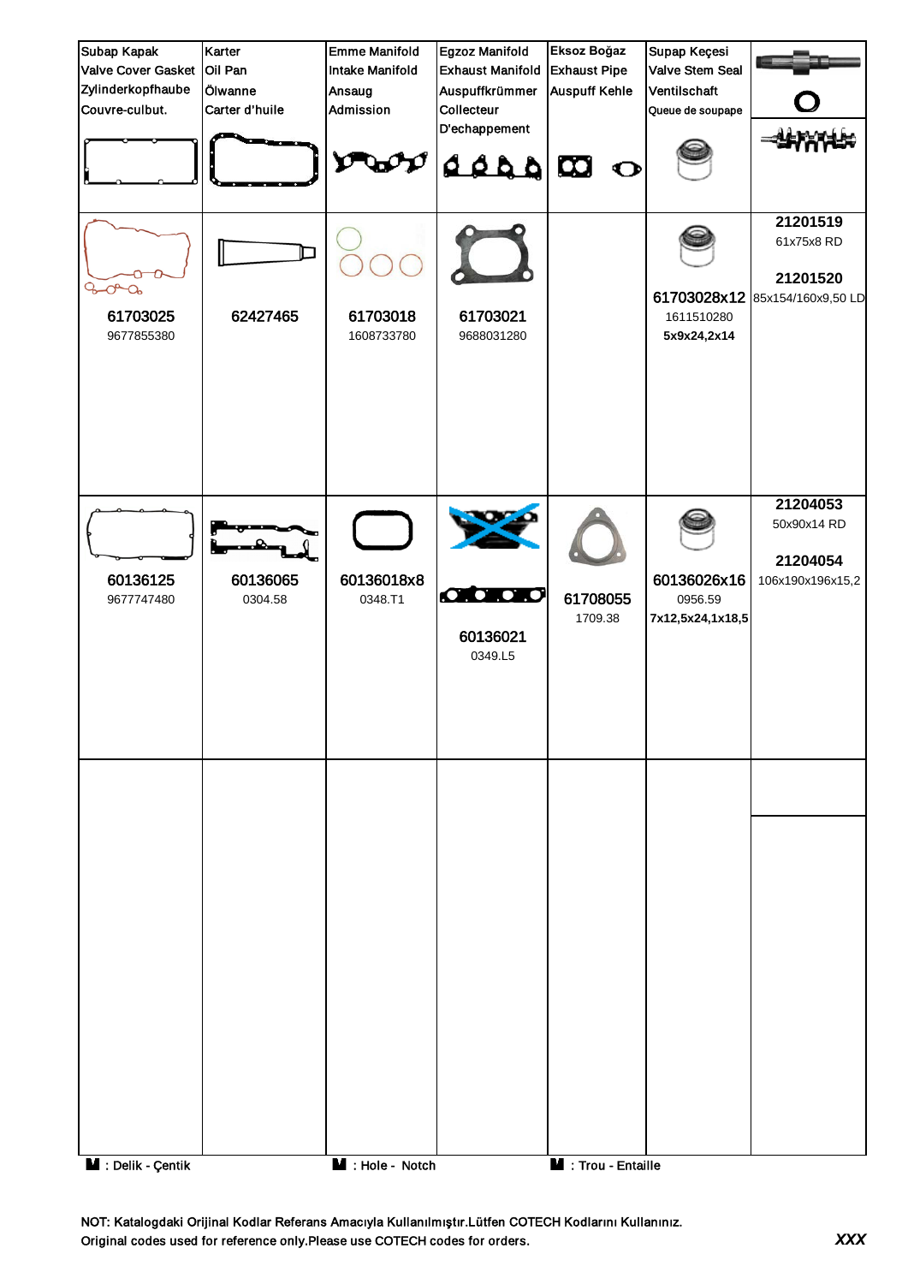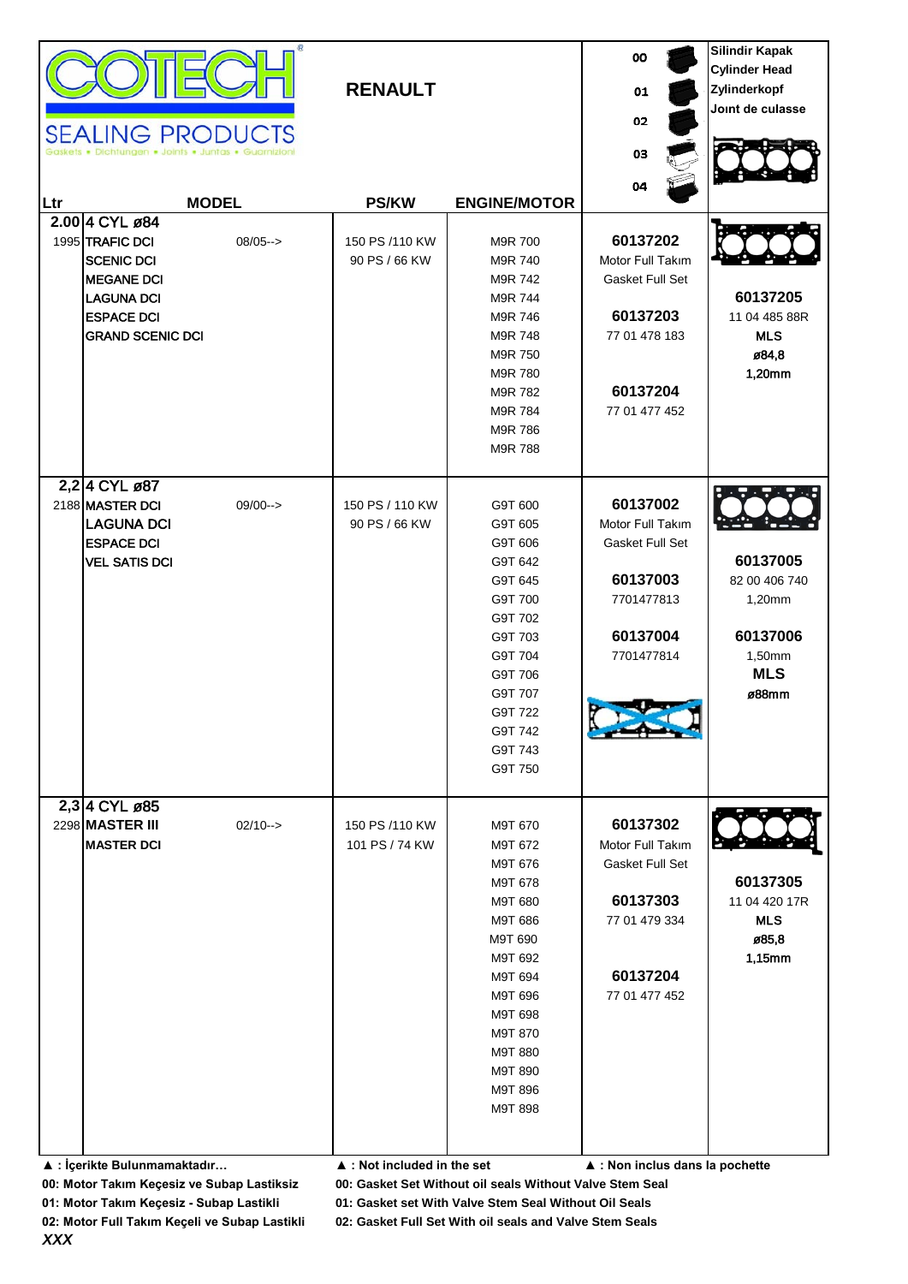|     |                                           |                         |                                            |                     | 00                                  | <b>Silindir Kapak</b>                |
|-----|-------------------------------------------|-------------------------|--------------------------------------------|---------------------|-------------------------------------|--------------------------------------|
|     |                                           |                         | <b>RENAULT</b>                             |                     | 01                                  | <b>Cylinder Head</b><br>Zylinderkopf |
|     |                                           |                         |                                            |                     |                                     | Joint de culasse                     |
|     |                                           | <b>SEALING PRODUCTS</b> |                                            |                     | 02                                  |                                      |
|     |                                           |                         |                                            |                     | 03                                  |                                      |
|     |                                           |                         |                                            |                     | 04                                  |                                      |
| Ltr |                                           | <b>MODEL</b>            | <b>PS/KW</b>                               | <b>ENGINE/MOTOR</b> |                                     |                                      |
|     | 2.00 4 CYL ø84                            |                         |                                            |                     |                                     |                                      |
|     | 1995 TRAFIC DCI                           | $08/05--$               | 150 PS /110 KW                             | M9R 700             | 60137202                            |                                      |
|     | <b>SCENIC DCI</b><br><b>MEGANE DCI</b>    |                         | 90 PS / 66 KW                              | M9R 740<br>M9R 742  | Motor Full Takım<br>Gasket Full Set |                                      |
|     | <b>LAGUNA DCI</b>                         |                         |                                            | M9R 744             |                                     | 60137205                             |
|     | <b>ESPACE DCI</b>                         |                         |                                            | M9R 746             | 60137203                            | 11 04 485 88R                        |
|     | <b>GRAND SCENIC DCI</b>                   |                         |                                            | M9R 748             | 77 01 478 183                       | <b>MLS</b>                           |
|     |                                           |                         |                                            | M9R 750             |                                     | ø84,8                                |
|     |                                           |                         |                                            | M9R 780             |                                     | 1,20mm                               |
|     |                                           |                         |                                            | M9R 782             | 60137204                            |                                      |
|     |                                           |                         |                                            | M9R 784<br>M9R 786  | 77 01 477 452                       |                                      |
|     |                                           |                         |                                            | M9R 788             |                                     |                                      |
|     |                                           |                         |                                            |                     |                                     |                                      |
|     | 2,2 4 CYL ø87                             |                         |                                            |                     |                                     |                                      |
|     | 2188 MASTER DCI                           | $09/00--$               | 150 PS / 110 KW                            | G9T 600             | 60137002                            |                                      |
|     | <b>LAGUNA DCI</b>                         |                         | 90 PS / 66 KW                              | G9T 605             | Motor Full Takım                    |                                      |
|     | <b>ESPACE DCI</b><br><b>VEL SATIS DCI</b> |                         |                                            | G9T 606<br>G9T 642  | Gasket Full Set                     | 60137005                             |
|     |                                           |                         |                                            | G9T 645             | 60137003                            | 82 00 406 740                        |
|     |                                           |                         |                                            | G9T 700             | 7701477813                          | 1,20mm                               |
|     |                                           |                         |                                            | G9T 702             |                                     |                                      |
|     |                                           |                         |                                            | G9T 703             | 60137004                            | 60137006                             |
|     |                                           |                         |                                            | G9T 704             | 7701477814                          | 1,50mm                               |
|     |                                           |                         |                                            | G9T 706             |                                     | <b>MLS</b>                           |
|     |                                           |                         |                                            | G9T 707             |                                     | ø88mm                                |
|     |                                           |                         |                                            | G9T 722<br>G9T 742  |                                     |                                      |
|     |                                           |                         |                                            | G9T 743             |                                     |                                      |
|     |                                           |                         |                                            | G9T 750             |                                     |                                      |
|     |                                           |                         |                                            |                     |                                     |                                      |
|     | 2,3 4 CYL ø85                             |                         |                                            |                     | 60137302                            |                                      |
|     | 2298 MASTER III<br><b>MASTER DCI</b>      | $02/10\rightarrow$      | 150 PS /110 KW<br>101 PS / 74 KW           | M9T 670<br>M9T 672  | Motor Full Takım                    |                                      |
|     |                                           |                         |                                            | M9T 676             | <b>Gasket Full Set</b>              |                                      |
|     |                                           |                         |                                            | M9T 678             |                                     | 60137305                             |
|     |                                           |                         |                                            | M9T 680             | 60137303                            | 11 04 420 17R                        |
|     |                                           |                         |                                            | M9T 686             | 77 01 479 334                       | <b>MLS</b>                           |
|     |                                           |                         |                                            | M9T 690             |                                     | ø85,8                                |
|     |                                           |                         |                                            | M9T 692             |                                     | 1,15mm                               |
|     |                                           |                         |                                            | M9T 694<br>M9T 696  | 60137204<br>77 01 477 452           |                                      |
|     |                                           |                         |                                            | M9T 698             |                                     |                                      |
|     |                                           |                         |                                            | M9T 870             |                                     |                                      |
|     |                                           |                         |                                            | M9T 880             |                                     |                                      |
|     |                                           |                         |                                            | M9T 890             |                                     |                                      |
|     |                                           |                         |                                            | M9T 896             |                                     |                                      |
|     |                                           |                         |                                            | M9T 898             |                                     |                                      |
|     |                                           |                         |                                            |                     |                                     |                                      |
|     | ▲ : İçerikte Bulunmamaktadır              |                         | $\blacktriangle$ : Not included in the set |                     | ▲ : Non inclus dans la pochette     |                                      |

**00: Motor Takım Keçesiz ve Subap Lastiksiz 00: Gasket Set Without oil seals Without Valve Stem Seal**

**01: Motor Takım Keçesiz - Subap Lastikli 01: Gasket set With Valve Stem Seal Without Oil Seals**

*XXX*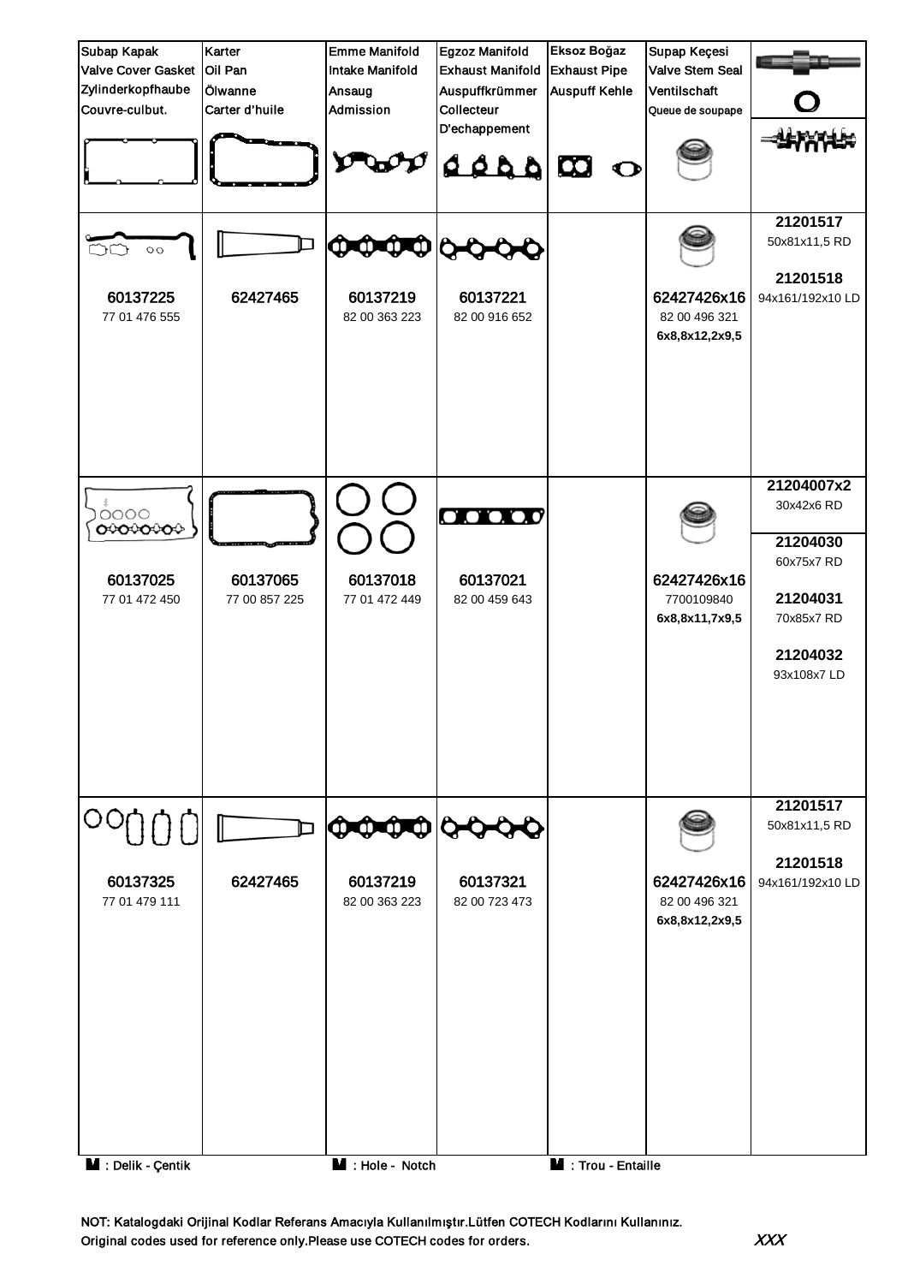

NOT: Katalogdaki Orijinal Kodlar Referans Amacıyla Kullanılmıştır.Lütfen COTECH Kodlarını Kullanınız. Original codes used for reference only.Please use COTECH codes for orders.  $\cancel{XXX}$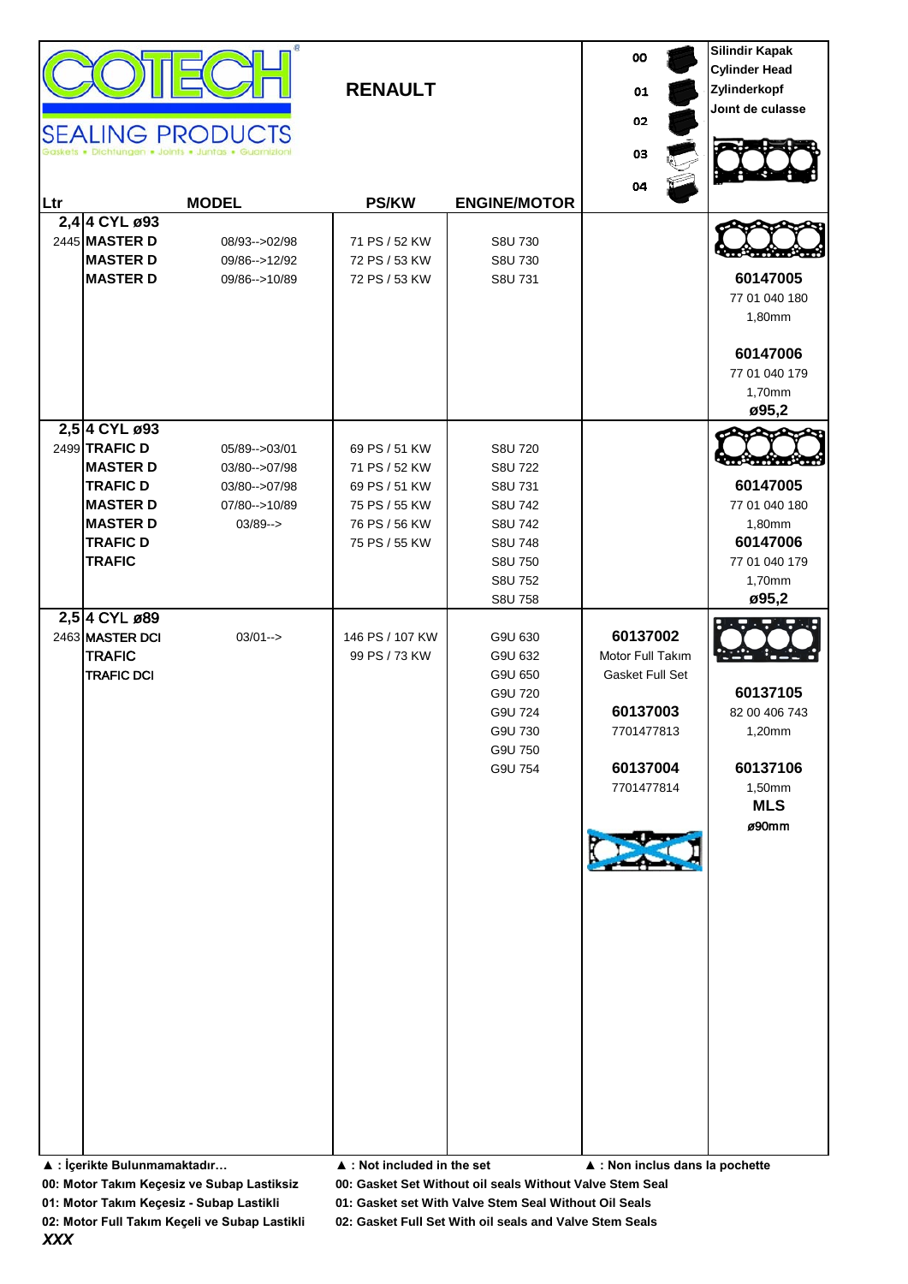| <b>SEALING PRODUCTS</b><br> Ltr<br>2,4 4 CYL ø93<br>2445 MASTER D<br><b>MASTER D</b><br><b>MASTER D</b>                                                                                                                                                  | lichtungen • Joints • Juntas • Guarnizioni<br><b>MODEL</b><br>08/93 -- > 02/98<br>09/86 -- > 12/92<br>09/86 -- > 10/89 | <b>RENAULT</b><br><b>PS/KW</b><br>71 PS / 52 KW<br>72 PS / 53 KW<br>72 PS / 53 KW                                                                                                    | <b>ENGINE/MOTOR</b><br>S8U 730<br>S8U 730<br>S8U 731                                                                                                                                    | oo<br>01<br>02<br>03<br>04                                                                                                                    | <b>Silindir Kapak</b><br><b>Cylinder Head</b><br>Zylinderkopf<br>Joint de culasse<br>60147005<br>77 01 040 180<br>1,80mm<br>60147006<br>77 01 040 179<br>1,70mm<br>ø95,2 |
|----------------------------------------------------------------------------------------------------------------------------------------------------------------------------------------------------------------------------------------------------------|------------------------------------------------------------------------------------------------------------------------|--------------------------------------------------------------------------------------------------------------------------------------------------------------------------------------|-----------------------------------------------------------------------------------------------------------------------------------------------------------------------------------------|-----------------------------------------------------------------------------------------------------------------------------------------------|--------------------------------------------------------------------------------------------------------------------------------------------------------------------------|
| 2,5 4 CYL ø93<br>2499 TRAFIC D<br><b>MASTER D</b><br><b>TRAFIC D</b><br><b>MASTER D</b><br><b>MASTER D</b><br><b>TRAFIC D</b><br><b>TRAFIC</b><br>2,5 4 CYL ø89<br>2463 MASTER DCI<br><b>TRAFIC</b><br><b>TRAFIC DCI</b><br>▲ : İçerikte Bulunmamaktadır | 05/89 -- > 03/01<br>03/80 -- > 07/98<br>03/80 -- > 07/98<br>07/80 -- > 10/89<br>$03/89 ->$<br>$03/01 - >$              | 69 PS / 51 KW<br>71 PS / 52 KW<br>69 PS / 51 KW<br>75 PS / 55 KW<br>76 PS / 56 KW<br>75 PS / 55 KW<br>146 PS / 107 KW<br>99 PS / 73 KW<br>$\blacktriangle$ : Not included in the set | S8U 720<br>S8U 722<br>S8U 731<br>S8U 742<br>S8U 742<br>S8U 748<br>S8U 750<br>S8U 752<br>S8U 758<br>G9U 630<br>G9U 632<br>G9U 650<br>G9U 720<br>G9U 724<br>G9U 730<br>G9U 750<br>G9U 754 | 60137002<br>Motor Full Takım<br><b>Gasket Full Set</b><br>60137003<br>7701477813<br>60137004<br>7701477814<br>▲ : Non inclus dans la pochette | 60147005<br>77 01 040 180<br>1,80mm<br>60147006<br>77 01 040 179<br>1,70mm<br>ø95,2<br>60137105<br>82 00 406 743<br>1,20mm<br>60137106<br>1,50mm<br><b>MLS</b><br>ø90mm  |

**00: Motor Takım Keçesiz ve Subap Lastiksiz 00: Gasket Set Without oil seals Without Valve Stem Seal**

**01: Motor Takım Keçesiz - Subap Lastikli 01: Gasket set With Valve Stem Seal Without Oil Seals**